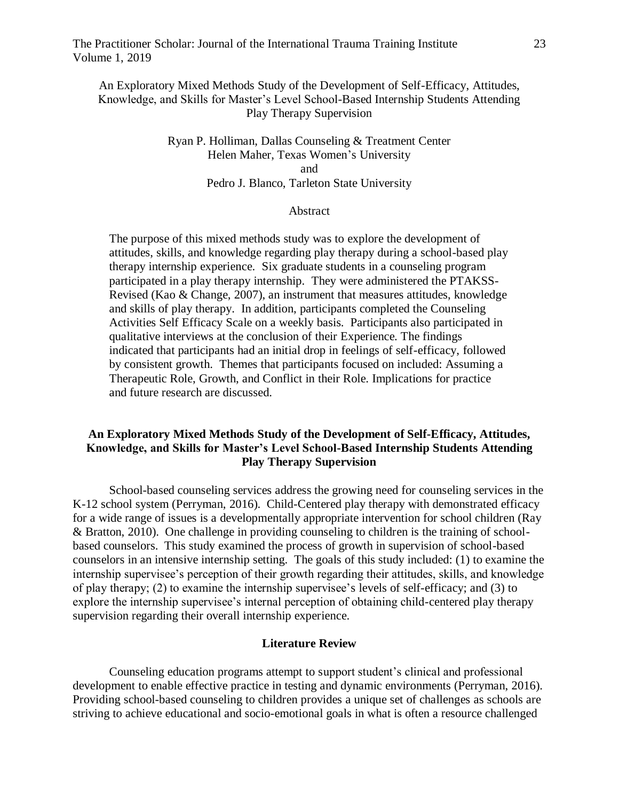The Practitioner Scholar: Journal of the International Trauma Training Institute 23 Volume 1, 2019

An Exploratory Mixed Methods Study of the Development of Self-Efficacy, Attitudes, Knowledge, and Skills for Master's Level School-Based Internship Students Attending Play Therapy Supervision

# Ryan P. Holliman, Dallas Counseling & Treatment Center Helen Maher, Texas Women's University and Pedro J. Blanco, Tarleton State University

## Abstract

The purpose of this mixed methods study was to explore the development of attitudes, skills, and knowledge regarding play therapy during a school-based play therapy internship experience. Six graduate students in a counseling program participated in a play therapy internship. They were administered the PTAKSS-Revised (Kao & Change, 2007), an instrument that measures attitudes, knowledge and skills of play therapy. In addition, participants completed the Counseling Activities Self Efficacy Scale on a weekly basis. Participants also participated in qualitative interviews at the conclusion of their Experience. The findings indicated that participants had an initial drop in feelings of self-efficacy, followed by consistent growth. Themes that participants focused on included: Assuming a Therapeutic Role, Growth, and Conflict in their Role. Implications for practice and future research are discussed.

# **An Exploratory Mixed Methods Study of the Development of Self-Efficacy, Attitudes, Knowledge, and Skills for Master's Level School-Based Internship Students Attending Play Therapy Supervision**

School-based counseling services address the growing need for counseling services in the K-12 school system (Perryman, 2016). Child-Centered play therapy with demonstrated efficacy for a wide range of issues is a developmentally appropriate intervention for school children (Ray & Bratton, 2010). One challenge in providing counseling to children is the training of schoolbased counselors. This study examined the process of growth in supervision of school-based counselors in an intensive internship setting. The goals of this study included: (1) to examine the internship supervisee's perception of their growth regarding their attitudes, skills, and knowledge of play therapy; (2) to examine the internship supervisee's levels of self-efficacy; and (3) to explore the internship supervisee's internal perception of obtaining child-centered play therapy supervision regarding their overall internship experience.

#### **Literature Review**

Counseling education programs attempt to support student's clinical and professional development to enable effective practice in testing and dynamic environments (Perryman, 2016). Providing school-based counseling to children provides a unique set of challenges as schools are striving to achieve educational and socio-emotional goals in what is often a resource challenged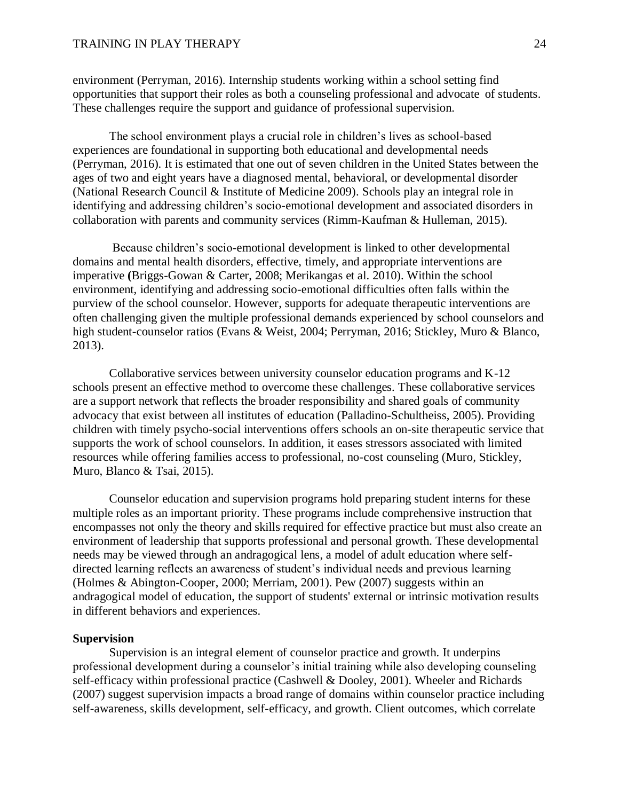environment (Perryman, 2016). Internship students working within a school setting find opportunities that support their roles as both a counseling professional and advocate of students. These challenges require the support and guidance of professional supervision.

The school environment plays a crucial role in children's lives as school-based experiences are foundational in supporting both educational and developmental needs (Perryman, 2016). It is estimated that one out of seven children in the United States between the ages of two and eight years have a diagnosed mental, behavioral, or developmental disorder (National Research Council & Institute of Medicine 2009). Schools play an integral role in identifying and addressing children's socio-emotional development and associated disorders in collaboration with parents and community services (Rimm-Kaufman & Hulleman, 2015).

Because children's socio-emotional development is linked to other developmental domains and mental health disorders, effective, timely, and appropriate interventions are imperative **(**Briggs-Gowan & Carter, 2008; Merikangas et al. 2010). Within the school environment, identifying and addressing socio-emotional difficulties often falls within the purview of the school counselor. However, supports for adequate therapeutic interventions are often challenging given the multiple professional demands experienced by school counselors and high student-counselor ratios (Evans & Weist, 2004; Perryman, 2016; Stickley, Muro & Blanco, 2013).

Collaborative services between university counselor education programs and K-12 schools present an effective method to overcome these challenges. These collaborative services are a support network that reflects the broader responsibility and shared goals of community advocacy that exist between all institutes of education (Palladino-Schultheiss, 2005). Providing children with timely psycho-social interventions offers schools an on-site therapeutic service that supports the work of school counselors. In addition, it eases stressors associated with limited resources while offering families access to professional, no-cost counseling (Muro, Stickley, Muro, Blanco & Tsai, 2015).

Counselor education and supervision programs hold preparing student interns for these multiple roles as an important priority. These programs include comprehensive instruction that encompasses not only the theory and skills required for effective practice but must also create an environment of leadership that supports professional and personal growth. These developmental needs may be viewed through an andragogical lens, a model of adult education where selfdirected learning reflects an awareness of student's individual needs and previous learning (Holmes & Abington-Cooper, 2000; Merriam, 2001). Pew (2007) suggests within an andragogical model of education, the support of students' external or intrinsic motivation results in different behaviors and experiences.

### **Supervision**

Supervision is an integral element of counselor practice and growth. It underpins professional development during a counselor's initial training while also developing counseling self-efficacy within professional practice (Cashwell & Dooley, 2001). Wheeler and Richards (2007) suggest supervision impacts a broad range of domains within counselor practice including self-awareness, skills development, self-efficacy, and growth. Client outcomes, which correlate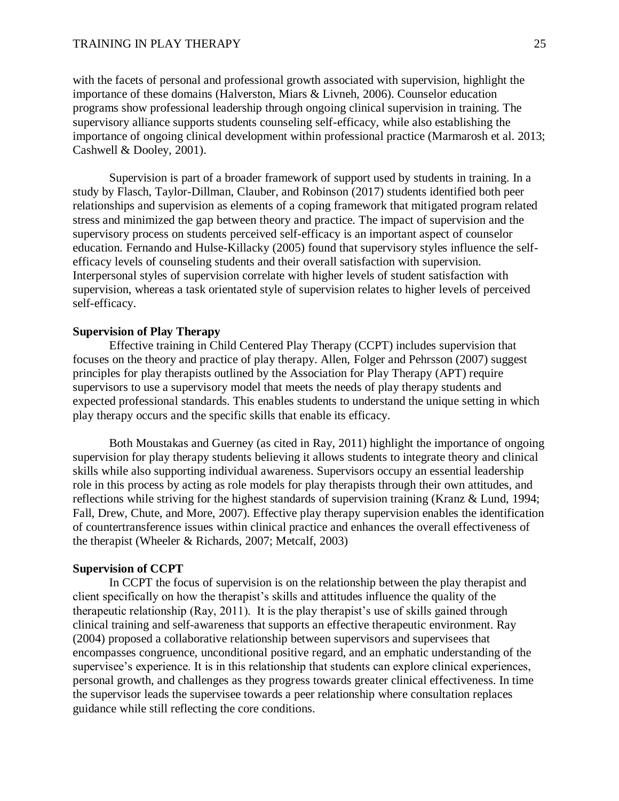with the facets of personal and professional growth associated with supervision, highlight the importance of these domains (Halverston, Miars & Livneh, 2006). Counselor education programs show professional leadership through ongoing clinical supervision in training. The supervisory alliance supports students counseling self-efficacy, while also establishing the importance of ongoing clinical development within professional practice (Marmarosh et al. 2013; Cashwell & Dooley, 2001).

Supervision is part of a broader framework of support used by students in training. In a study by Flasch, Taylor-Dillman, Clauber, and Robinson (2017) students identified both peer relationships and supervision as elements of a coping framework that mitigated program related stress and minimized the gap between theory and practice. The impact of supervision and the supervisory process on students perceived self-efficacy is an important aspect of counselor education. Fernando and Hulse-Killacky (2005) found that supervisory styles influence the selfefficacy levels of counseling students and their overall satisfaction with supervision. Interpersonal styles of supervision correlate with higher levels of student satisfaction with supervision, whereas a task orientated style of supervision relates to higher levels of perceived self-efficacy.

## **Supervision of Play Therapy**

Effective training in Child Centered Play Therapy (CCPT) includes supervision that focuses on the theory and practice of play therapy. Allen, Folger and Pehrsson (2007) suggest principles for play therapists outlined by the Association for Play Therapy (APT) require supervisors to use a supervisory model that meets the needs of play therapy students and expected professional standards. This enables students to understand the unique setting in which play therapy occurs and the specific skills that enable its efficacy.

Both Moustakas and Guerney (as cited in Ray, 2011) highlight the importance of ongoing supervision for play therapy students believing it allows students to integrate theory and clinical skills while also supporting individual awareness. Supervisors occupy an essential leadership role in this process by acting as role models for play therapists through their own attitudes, and reflections while striving for the highest standards of supervision training (Kranz & Lund, 1994; Fall, Drew, Chute, and More, 2007). Effective play therapy supervision enables the identification of countertransference issues within clinical practice and enhances the overall effectiveness of the therapist (Wheeler & Richards, 2007; Metcalf, 2003)

#### **Supervision of CCPT**

In CCPT the focus of supervision is on the relationship between the play therapist and client specifically on how the therapist's skills and attitudes influence the quality of the therapeutic relationship (Ray, 2011). It is the play therapist's use of skills gained through clinical training and self-awareness that supports an effective therapeutic environment. Ray (2004) proposed a collaborative relationship between supervisors and supervisees that encompasses congruence, unconditional positive regard, and an emphatic understanding of the supervisee's experience. It is in this relationship that students can explore clinical experiences, personal growth, and challenges as they progress towards greater clinical effectiveness. In time the supervisor leads the supervisee towards a peer relationship where consultation replaces guidance while still reflecting the core conditions.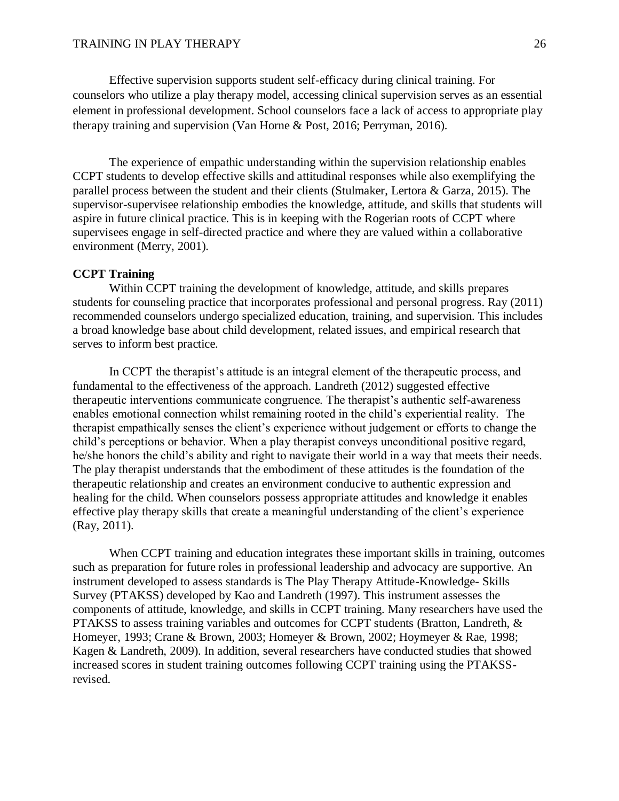Effective supervision supports student self-efficacy during clinical training. For counselors who utilize a play therapy model, accessing clinical supervision serves as an essential element in professional development. School counselors face a lack of access to appropriate play therapy training and supervision (Van Horne & Post, 2016; Perryman, 2016).

The experience of empathic understanding within the supervision relationship enables CCPT students to develop effective skills and attitudinal responses while also exemplifying the parallel process between the student and their clients (Stulmaker, Lertora & Garza, 2015). The supervisor-supervisee relationship embodies the knowledge, attitude, and skills that students will aspire in future clinical practice. This is in keeping with the Rogerian roots of CCPT where supervisees engage in self-directed practice and where they are valued within a collaborative environment (Merry, 2001).

# **CCPT Training**

Within CCPT training the development of knowledge, attitude, and skills prepares students for counseling practice that incorporates professional and personal progress. Ray (2011) recommended counselors undergo specialized education, training, and supervision. This includes a broad knowledge base about child development, related issues, and empirical research that serves to inform best practice.

In CCPT the therapist's attitude is an integral element of the therapeutic process, and fundamental to the effectiveness of the approach. Landreth (2012) suggested effective therapeutic interventions communicate congruence. The therapist's authentic self-awareness enables emotional connection whilst remaining rooted in the child's experiential reality. The therapist empathically senses the client's experience without judgement or efforts to change the child's perceptions or behavior. When a play therapist conveys unconditional positive regard, he/she honors the child's ability and right to navigate their world in a way that meets their needs. The play therapist understands that the embodiment of these attitudes is the foundation of the therapeutic relationship and creates an environment conducive to authentic expression and healing for the child. When counselors possess appropriate attitudes and knowledge it enables effective play therapy skills that create a meaningful understanding of the client's experience (Ray, 2011).

When CCPT training and education integrates these important skills in training, outcomes such as preparation for future roles in professional leadership and advocacy are supportive. An instrument developed to assess standards is The Play Therapy Attitude-Knowledge- Skills Survey (PTAKSS) developed by Kao and Landreth (1997). This instrument assesses the components of attitude, knowledge, and skills in CCPT training. Many researchers have used the PTAKSS to assess training variables and outcomes for CCPT students (Bratton, Landreth, & Homeyer, 1993; Crane & Brown, 2003; Homeyer & Brown, 2002; Hoymeyer & Rae, 1998; Kagen & Landreth, 2009). In addition, several researchers have conducted studies that showed increased scores in student training outcomes following CCPT training using the PTAKSSrevised.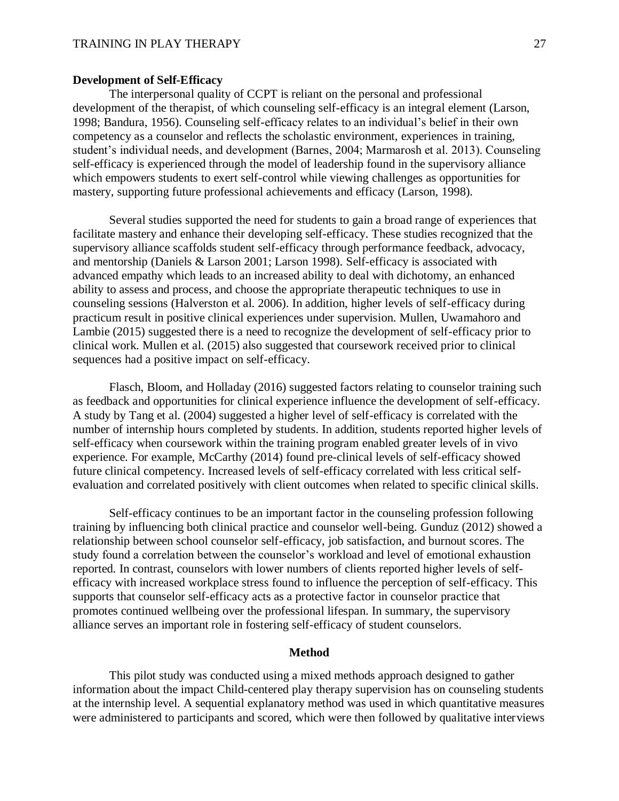## **Development of Self-Efficacy**

The interpersonal quality of CCPT is reliant on the personal and professional development of the therapist, of which counseling self-efficacy is an integral element (Larson, 1998; Bandura, 1956). Counseling self-efficacy relates to an individual's belief in their own competency as a counselor and reflects the scholastic environment, experiences in training, student's individual needs, and development (Barnes, 2004; Marmarosh et al. 2013). Counseling self-efficacy is experienced through the model of leadership found in the supervisory alliance which empowers students to exert self-control while viewing challenges as opportunities for mastery, supporting future professional achievements and efficacy (Larson, 1998).

Several studies supported the need for students to gain a broad range of experiences that facilitate mastery and enhance their developing self-efficacy. These studies recognized that the supervisory alliance scaffolds student self-efficacy through performance feedback, advocacy, and mentorship (Daniels & Larson 2001; Larson 1998). Self-efficacy is associated with advanced empathy which leads to an increased ability to deal with dichotomy, an enhanced ability to assess and process, and choose the appropriate therapeutic techniques to use in counseling sessions (Halverston et al. 2006). In addition, higher levels of self-efficacy during practicum result in positive clinical experiences under supervision. Mullen, Uwamahoro and Lambie (2015) suggested there is a need to recognize the development of self-efficacy prior to clinical work. Mullen et al. (2015) also suggested that coursework received prior to clinical sequences had a positive impact on self-efficacy.

Flasch, Bloom, and Holladay (2016) suggested factors relating to counselor training such as feedback and opportunities for clinical experience influence the development of self-efficacy. A study by Tang et al. (2004) suggested a higher level of self-efficacy is correlated with the number of internship hours completed by students. In addition, students reported higher levels of self-efficacy when coursework within the training program enabled greater levels of in vivo experience. For example, McCarthy (2014) found pre-clinical levels of self-efficacy showed future clinical competency. Increased levels of self-efficacy correlated with less critical selfevaluation and correlated positively with client outcomes when related to specific clinical skills.

Self-efficacy continues to be an important factor in the counseling profession following training by influencing both clinical practice and counselor well-being. Gunduz (2012) showed a relationship between school counselor self-efficacy, job satisfaction, and burnout scores. The study found a correlation between the counselor's workload and level of emotional exhaustion reported. In contrast, counselors with lower numbers of clients reported higher levels of selfefficacy with increased workplace stress found to influence the perception of self-efficacy. This supports that counselor self-efficacy acts as a protective factor in counselor practice that promotes continued wellbeing over the professional lifespan. In summary, the supervisory alliance serves an important role in fostering self-efficacy of student counselors.

### **Method**

This pilot study was conducted using a mixed methods approach designed to gather information about the impact Child-centered play therapy supervision has on counseling students at the internship level. A sequential explanatory method was used in which quantitative measures were administered to participants and scored, which were then followed by qualitative interviews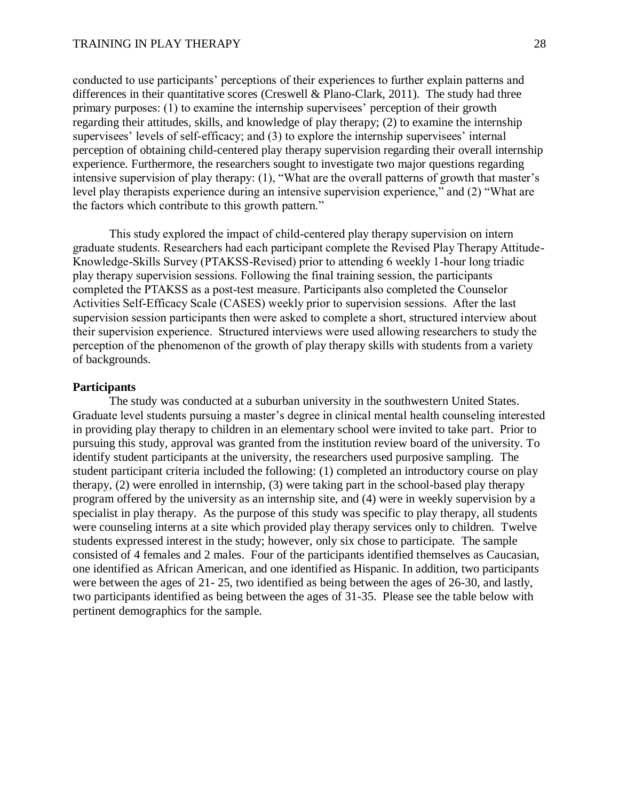conducted to use participants' perceptions of their experiences to further explain patterns and differences in their quantitative scores (Creswell & Plano-Clark, 2011). The study had three primary purposes: (1) to examine the internship supervisees' perception of their growth regarding their attitudes, skills, and knowledge of play therapy; (2) to examine the internship supervisees' levels of self-efficacy; and (3) to explore the internship supervisees' internal perception of obtaining child-centered play therapy supervision regarding their overall internship experience. Furthermore, the researchers sought to investigate two major questions regarding intensive supervision of play therapy: (1), "What are the overall patterns of growth that master's level play therapists experience during an intensive supervision experience," and (2) "What are the factors which contribute to this growth pattern."

This study explored the impact of child-centered play therapy supervision on intern graduate students. Researchers had each participant complete the Revised Play Therapy Attitude-Knowledge-Skills Survey (PTAKSS-Revised) prior to attending 6 weekly 1-hour long triadic play therapy supervision sessions. Following the final training session, the participants completed the PTAKSS as a post-test measure. Participants also completed the Counselor Activities Self-Efficacy Scale (CASES) weekly prior to supervision sessions. After the last supervision session participants then were asked to complete a short, structured interview about their supervision experience. Structured interviews were used allowing researchers to study the perception of the phenomenon of the growth of play therapy skills with students from a variety of backgrounds.

### **Participants**

The study was conducted at a suburban university in the southwestern United States. Graduate level students pursuing a master's degree in clinical mental health counseling interested in providing play therapy to children in an elementary school were invited to take part. Prior to pursuing this study, approval was granted from the institution review board of the university. To identify student participants at the university, the researchers used purposive sampling. The student participant criteria included the following: (1) completed an introductory course on play therapy, (2) were enrolled in internship, (3) were taking part in the school-based play therapy program offered by the university as an internship site, and (4) were in weekly supervision by a specialist in play therapy. As the purpose of this study was specific to play therapy, all students were counseling interns at a site which provided play therapy services only to children. Twelve students expressed interest in the study; however, only six chose to participate. The sample consisted of 4 females and 2 males. Four of the participants identified themselves as Caucasian, one identified as African American, and one identified as Hispanic. In addition, two participants were between the ages of 21- 25, two identified as being between the ages of 26-30, and lastly, two participants identified as being between the ages of 31-35. Please see the table below with pertinent demographics for the sample.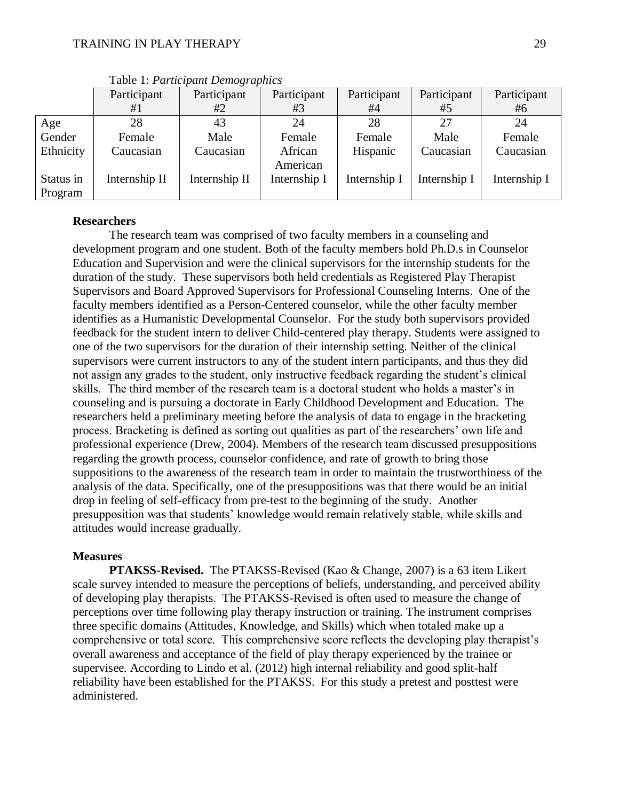|           | Participant   | Participant   | Participant  | Participant  | Participant  | Participant  |
|-----------|---------------|---------------|--------------|--------------|--------------|--------------|
|           | #1            | #2            | #3           | #4           | #5           | #6           |
| Age       | 28            | 43            | 24           | 28           | 27           | 24           |
| Gender    | Female        | Male          | Female       | Female       | Male         | Female       |
| Ethnicity | Caucasian     | Caucasian     | African      | Hispanic     | Caucasian    | Caucasian    |
|           |               |               | American     |              |              |              |
| Status in | Internship II | Internship II | Internship I | Internship I | Internship I | Internship I |
| Program   |               |               |              |              |              |              |

Table 1: *Participant Demographics*

## **Researchers**

The research team was comprised of two faculty members in a counseling and development program and one student. Both of the faculty members hold Ph.D.s in Counselor Education and Supervision and were the clinical supervisors for the internship students for the duration of the study. These supervisors both held credentials as Registered Play Therapist Supervisors and Board Approved Supervisors for Professional Counseling Interns. One of the faculty members identified as a Person-Centered counselor, while the other faculty member identifies as a Humanistic Developmental Counselor. For the study both supervisors provided feedback for the student intern to deliver Child-centered play therapy. Students were assigned to one of the two supervisors for the duration of their internship setting. Neither of the clinical supervisors were current instructors to any of the student intern participants, and thus they did not assign any grades to the student, only instructive feedback regarding the student's clinical skills. The third member of the research team is a doctoral student who holds a master's in counseling and is pursuing a doctorate in Early Childhood Development and Education. The researchers held a preliminary meeting before the analysis of data to engage in the bracketing process. Bracketing is defined as sorting out qualities as part of the researchers' own life and professional experience (Drew, 2004). Members of the research team discussed presuppositions regarding the growth process, counselor confidence, and rate of growth to bring those suppositions to the awareness of the research team in order to maintain the trustworthiness of the analysis of the data. Specifically, one of the presuppositions was that there would be an initial drop in feeling of self-efficacy from pre-test to the beginning of the study. Another presupposition was that students' knowledge would remain relatively stable, while skills and attitudes would increase gradually.

### **Measures**

**PTAKSS-Revised.** The PTAKSS-Revised (Kao & Change, 2007) is a 63 item Likert scale survey intended to measure the perceptions of beliefs, understanding, and perceived ability of developing play therapists. The PTAKSS-Revised is often used to measure the change of perceptions over time following play therapy instruction or training. The instrument comprises three specific domains (Attitudes, Knowledge, and Skills) which when totaled make up a comprehensive or total score. This comprehensive score reflects the developing play therapist's overall awareness and acceptance of the field of play therapy experienced by the trainee or supervisee. According to Lindo et al. (2012) high internal reliability and good split-half reliability have been established for the PTAKSS. For this study a pretest and posttest were administered.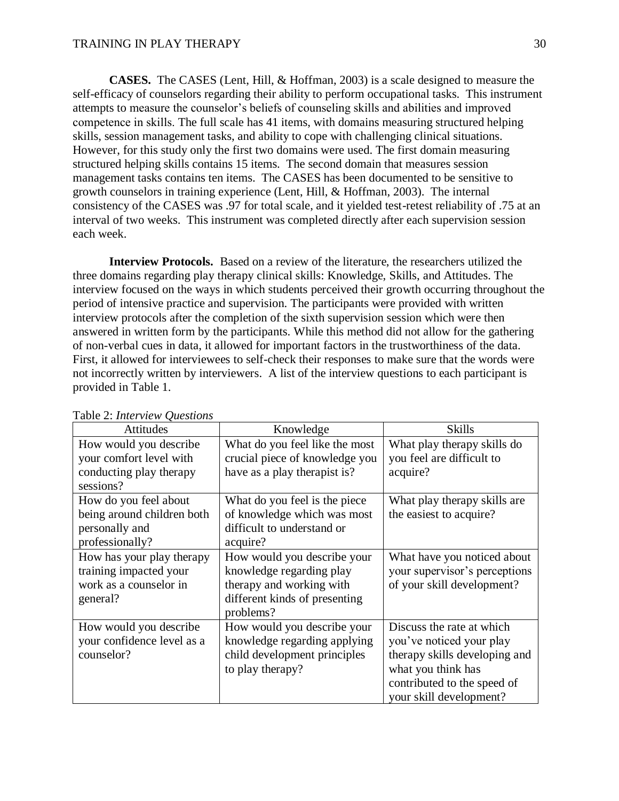**CASES.** The CASES (Lent, Hill, & Hoffman, 2003) is a scale designed to measure the self-efficacy of counselors regarding their ability to perform occupational tasks. This instrument attempts to measure the counselor's beliefs of counseling skills and abilities and improved competence in skills. The full scale has 41 items, with domains measuring structured helping skills, session management tasks, and ability to cope with challenging clinical situations. However, for this study only the first two domains were used. The first domain measuring structured helping skills contains 15 items. The second domain that measures session management tasks contains ten items. The CASES has been documented to be sensitive to growth counselors in training experience (Lent, Hill, & Hoffman, 2003). The internal consistency of the CASES was .97 for total scale, and it yielded test-retest reliability of .75 at an interval of two weeks. This instrument was completed directly after each supervision session each week.

**Interview Protocols.** Based on a review of the literature, the researchers utilized the three domains regarding play therapy clinical skills: Knowledge, Skills, and Attitudes. The interview focused on the ways in which students perceived their growth occurring throughout the period of intensive practice and supervision. The participants were provided with written interview protocols after the completion of the sixth supervision session which were then answered in written form by the participants. While this method did not allow for the gathering of non-verbal cues in data, it allowed for important factors in the trustworthiness of the data. First, it allowed for interviewees to self-check their responses to make sure that the words were not incorrectly written by interviewers. A list of the interview questions to each participant is provided in Table 1.

| <b>Attitudes</b>                                                                          | Knowledge                                                                                                                         | <b>Skills</b>                                                                                                                                                          |  |
|-------------------------------------------------------------------------------------------|-----------------------------------------------------------------------------------------------------------------------------------|------------------------------------------------------------------------------------------------------------------------------------------------------------------------|--|
| How would you describe<br>your comfort level with<br>conducting play therapy<br>sessions? | What do you feel like the most<br>crucial piece of knowledge you<br>have as a play therapist is?                                  | What play therapy skills do<br>you feel are difficult to<br>acquire?                                                                                                   |  |
| How do you feel about<br>being around children both<br>personally and<br>professionally?  | What do you feel is the piece<br>of knowledge which was most<br>difficult to understand or<br>acquire?                            | What play therapy skills are<br>the easiest to acquire?                                                                                                                |  |
| How has your play therapy<br>training impacted your<br>work as a counselor in<br>general? | How would you describe your<br>knowledge regarding play<br>therapy and working with<br>different kinds of presenting<br>problems? | What have you noticed about<br>your supervisor's perceptions<br>of your skill development?                                                                             |  |
| How would you describe<br>your confidence level as a<br>counselor?                        | How would you describe your<br>knowledge regarding applying<br>child development principles<br>to play therapy?                   | Discuss the rate at which<br>you've noticed your play<br>therapy skills developing and<br>what you think has<br>contributed to the speed of<br>your skill development? |  |

#### Table 2: *Interview Questions*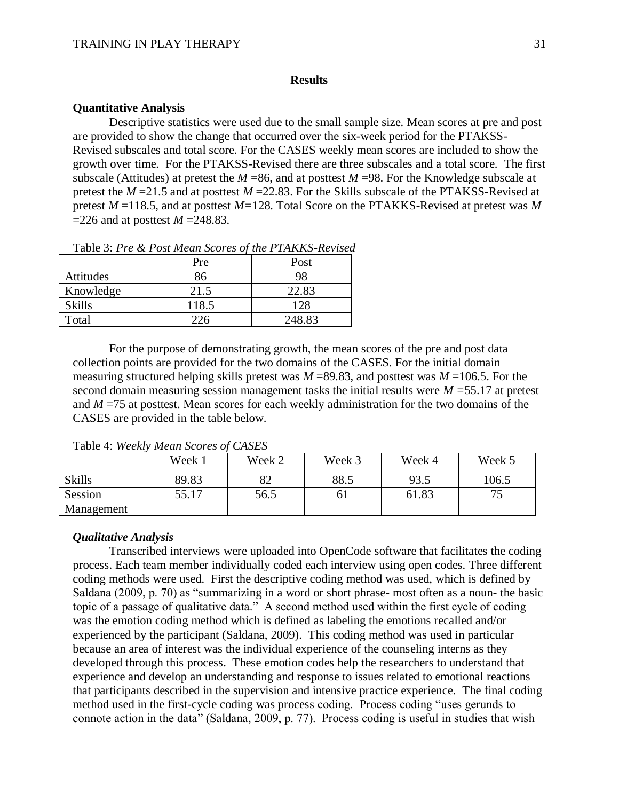## **Results**

## **Quantitative Analysis**

Descriptive statistics were used due to the small sample size. Mean scores at pre and post are provided to show the change that occurred over the six-week period for the PTAKSS-Revised subscales and total score. For the CASES weekly mean scores are included to show the growth over time. For the PTAKSS-Revised there are three subscales and a total score. The first subscale (Attitudes) at pretest the *M* =86, and at posttest *M* =98. For the Knowledge subscale at pretest the *M* =21.5 and at posttest *M* =22.83. For the Skills subscale of the PTAKSS-Revised at pretest *M* =118.5, and at posttest *M=*128*.* Total Score on the PTAKKS-Revised at pretest was *M*  =226 and at posttest *M* =248.83.

|               | Pre   | Post   |
|---------------|-------|--------|
| Attitudes     | 86    | 98     |
| Knowledge     | 21.5  | 22.83  |
| <b>Skills</b> | 118.5 | 128    |
| Total         |       | 248.83 |

Table 3: *Pre & Post Mean Scores of the PTAKKS-Revised*

For the purpose of demonstrating growth, the mean scores of the pre and post data collection points are provided for the two domains of the CASES. For the initial domain measuring structured helping skills pretest was  $M = 89.83$ , and posttest was  $M = 106.5$ . For the second domain measuring session management tasks the initial results were *M =*55.17 at pretest and  $M = 75$  at posttest. Mean scores for each weekly administration for the two domains of the CASES are provided in the table below.

|               | Week 1 | Week 2 | Week 3 | Week 4 | Week 5 |
|---------------|--------|--------|--------|--------|--------|
| <b>Skills</b> | 89.83  | 82     | 88.5   | 93.5   | 106.5  |
| Session       | 55.17  | 56.5   | 61     | 61.83  | 75     |
| Management    |        |        |        |        |        |

Table 4: *Weekly Mean Scores of CASES*

### *Qualitative Analysis*

Transcribed interviews were uploaded into OpenCode software that facilitates the coding process. Each team member individually coded each interview using open codes. Three different coding methods were used. First the descriptive coding method was used, which is defined by Saldana (2009, p. 70) as "summarizing in a word or short phrase- most often as a noun- the basic topic of a passage of qualitative data." A second method used within the first cycle of coding was the emotion coding method which is defined as labeling the emotions recalled and/or experienced by the participant (Saldana, 2009). This coding method was used in particular because an area of interest was the individual experience of the counseling interns as they developed through this process. These emotion codes help the researchers to understand that experience and develop an understanding and response to issues related to emotional reactions that participants described in the supervision and intensive practice experience. The final coding method used in the first-cycle coding was process coding. Process coding "uses gerunds to connote action in the data" (Saldana, 2009, p. 77). Process coding is useful in studies that wish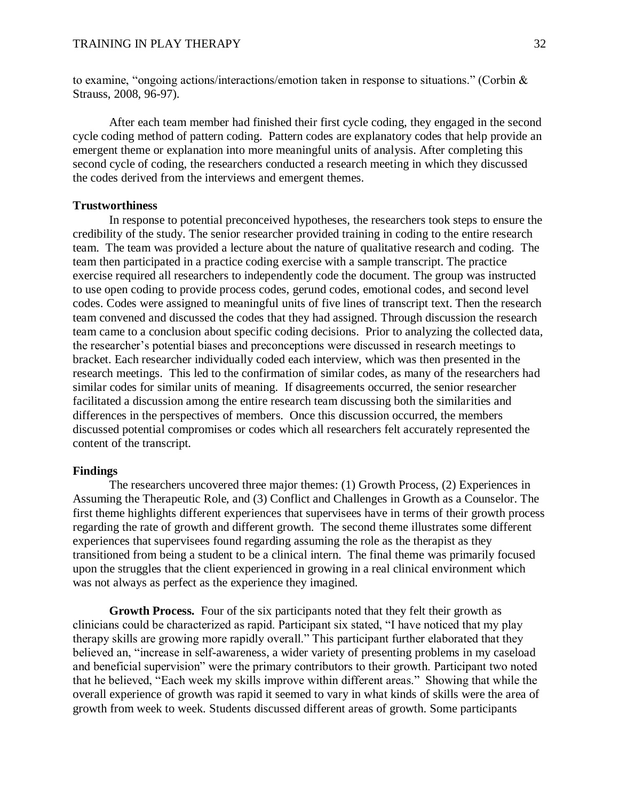to examine, "ongoing actions/interactions/emotion taken in response to situations." (Corbin & Strauss, 2008, 96-97).

After each team member had finished their first cycle coding, they engaged in the second cycle coding method of pattern coding. Pattern codes are explanatory codes that help provide an emergent theme or explanation into more meaningful units of analysis. After completing this second cycle of coding, the researchers conducted a research meeting in which they discussed the codes derived from the interviews and emergent themes.

### **Trustworthiness**

In response to potential preconceived hypotheses, the researchers took steps to ensure the credibility of the study. The senior researcher provided training in coding to the entire research team. The team was provided a lecture about the nature of qualitative research and coding. The team then participated in a practice coding exercise with a sample transcript. The practice exercise required all researchers to independently code the document. The group was instructed to use open coding to provide process codes, gerund codes, emotional codes, and second level codes. Codes were assigned to meaningful units of five lines of transcript text. Then the research team convened and discussed the codes that they had assigned. Through discussion the research team came to a conclusion about specific coding decisions. Prior to analyzing the collected data, the researcher's potential biases and preconceptions were discussed in research meetings to bracket. Each researcher individually coded each interview, which was then presented in the research meetings. This led to the confirmation of similar codes, as many of the researchers had similar codes for similar units of meaning. If disagreements occurred, the senior researcher facilitated a discussion among the entire research team discussing both the similarities and differences in the perspectives of members. Once this discussion occurred, the members discussed potential compromises or codes which all researchers felt accurately represented the content of the transcript.

#### **Findings**

The researchers uncovered three major themes: (1) Growth Process, (2) Experiences in Assuming the Therapeutic Role, and (3) Conflict and Challenges in Growth as a Counselor. The first theme highlights different experiences that supervisees have in terms of their growth process regarding the rate of growth and different growth. The second theme illustrates some different experiences that supervisees found regarding assuming the role as the therapist as they transitioned from being a student to be a clinical intern. The final theme was primarily focused upon the struggles that the client experienced in growing in a real clinical environment which was not always as perfect as the experience they imagined.

**Growth Process.** Four of the six participants noted that they felt their growth as clinicians could be characterized as rapid. Participant six stated, "I have noticed that my play therapy skills are growing more rapidly overall." This participant further elaborated that they believed an, "increase in self-awareness, a wider variety of presenting problems in my caseload and beneficial supervision" were the primary contributors to their growth. Participant two noted that he believed, "Each week my skills improve within different areas." Showing that while the overall experience of growth was rapid it seemed to vary in what kinds of skills were the area of growth from week to week. Students discussed different areas of growth. Some participants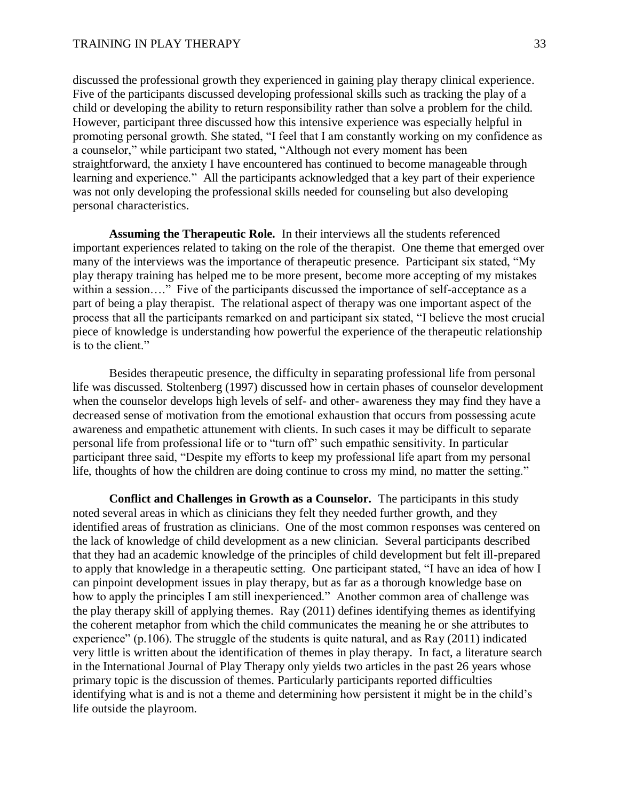discussed the professional growth they experienced in gaining play therapy clinical experience. Five of the participants discussed developing professional skills such as tracking the play of a child or developing the ability to return responsibility rather than solve a problem for the child. However, participant three discussed how this intensive experience was especially helpful in promoting personal growth. She stated, "I feel that I am constantly working on my confidence as a counselor," while participant two stated, "Although not every moment has been straightforward, the anxiety I have encountered has continued to become manageable through learning and experience." All the participants acknowledged that a key part of their experience was not only developing the professional skills needed for counseling but also developing personal characteristics.

**Assuming the Therapeutic Role.** In their interviews all the students referenced important experiences related to taking on the role of the therapist. One theme that emerged over many of the interviews was the importance of therapeutic presence. Participant six stated, "My play therapy training has helped me to be more present, become more accepting of my mistakes within a session…." Five of the participants discussed the importance of self-acceptance as a part of being a play therapist. The relational aspect of therapy was one important aspect of the process that all the participants remarked on and participant six stated, "I believe the most crucial piece of knowledge is understanding how powerful the experience of the therapeutic relationship is to the client."

Besides therapeutic presence, the difficulty in separating professional life from personal life was discussed. Stoltenberg (1997) discussed how in certain phases of counselor development when the counselor develops high levels of self- and other- awareness they may find they have a decreased sense of motivation from the emotional exhaustion that occurs from possessing acute awareness and empathetic attunement with clients. In such cases it may be difficult to separate personal life from professional life or to "turn off" such empathic sensitivity. In particular participant three said, "Despite my efforts to keep my professional life apart from my personal life, thoughts of how the children are doing continue to cross my mind, no matter the setting."

**Conflict and Challenges in Growth as a Counselor.** The participants in this study noted several areas in which as clinicians they felt they needed further growth, and they identified areas of frustration as clinicians. One of the most common responses was centered on the lack of knowledge of child development as a new clinician. Several participants described that they had an academic knowledge of the principles of child development but felt ill-prepared to apply that knowledge in a therapeutic setting. One participant stated, "I have an idea of how I can pinpoint development issues in play therapy, but as far as a thorough knowledge base on how to apply the principles I am still inexperienced." Another common area of challenge was the play therapy skill of applying themes. Ray (2011) defines identifying themes as identifying the coherent metaphor from which the child communicates the meaning he or she attributes to experience" (p.106). The struggle of the students is quite natural, and as Ray (2011) indicated very little is written about the identification of themes in play therapy. In fact, a literature search in the International Journal of Play Therapy only yields two articles in the past 26 years whose primary topic is the discussion of themes. Particularly participants reported difficulties identifying what is and is not a theme and determining how persistent it might be in the child's life outside the playroom.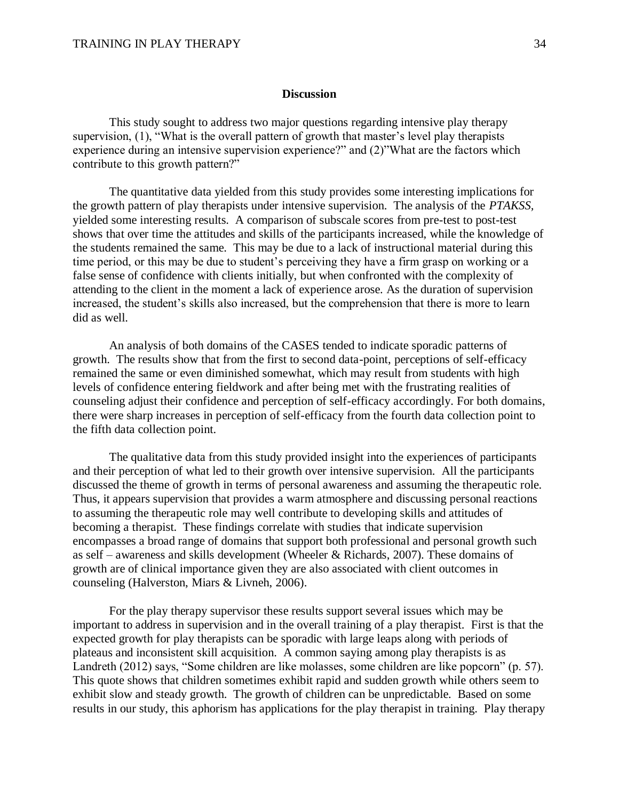### **Discussion**

This study sought to address two major questions regarding intensive play therapy supervision, (1), "What is the overall pattern of growth that master's level play therapists experience during an intensive supervision experience?" and (2)"What are the factors which contribute to this growth pattern?"

The quantitative data yielded from this study provides some interesting implications for the growth pattern of play therapists under intensive supervision. The analysis of the *PTAKSS,* yielded some interesting results. A comparison of subscale scores from pre-test to post-test shows that over time the attitudes and skills of the participants increased, while the knowledge of the students remained the same. This may be due to a lack of instructional material during this time period, or this may be due to student's perceiving they have a firm grasp on working or a false sense of confidence with clients initially, but when confronted with the complexity of attending to the client in the moment a lack of experience arose. As the duration of supervision increased, the student's skills also increased, but the comprehension that there is more to learn did as well.

An analysis of both domains of the CASES tended to indicate sporadic patterns of growth. The results show that from the first to second data-point, perceptions of self-efficacy remained the same or even diminished somewhat, which may result from students with high levels of confidence entering fieldwork and after being met with the frustrating realities of counseling adjust their confidence and perception of self-efficacy accordingly. For both domains, there were sharp increases in perception of self-efficacy from the fourth data collection point to the fifth data collection point.

The qualitative data from this study provided insight into the experiences of participants and their perception of what led to their growth over intensive supervision. All the participants discussed the theme of growth in terms of personal awareness and assuming the therapeutic role. Thus, it appears supervision that provides a warm atmosphere and discussing personal reactions to assuming the therapeutic role may well contribute to developing skills and attitudes of becoming a therapist. These findings correlate with studies that indicate supervision encompasses a broad range of domains that support both professional and personal growth such as self – awareness and skills development (Wheeler & Richards, 2007). These domains of growth are of clinical importance given they are also associated with client outcomes in counseling (Halverston, Miars & Livneh, 2006).

For the play therapy supervisor these results support several issues which may be important to address in supervision and in the overall training of a play therapist. First is that the expected growth for play therapists can be sporadic with large leaps along with periods of plateaus and inconsistent skill acquisition. A common saying among play therapists is as Landreth (2012) says, "Some children are like molasses, some children are like popcorn" (p. 57). This quote shows that children sometimes exhibit rapid and sudden growth while others seem to exhibit slow and steady growth. The growth of children can be unpredictable. Based on some results in our study, this aphorism has applications for the play therapist in training. Play therapy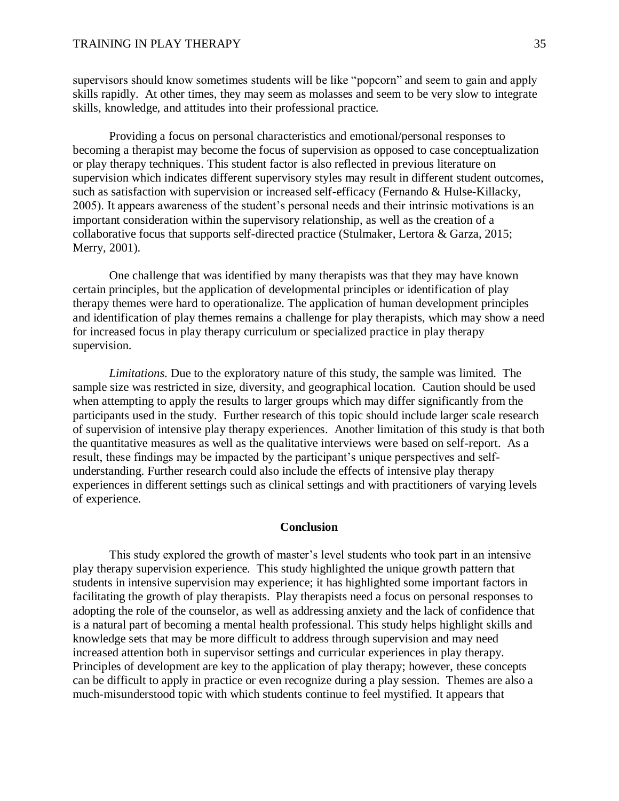supervisors should know sometimes students will be like "popcorn" and seem to gain and apply skills rapidly. At other times, they may seem as molasses and seem to be very slow to integrate skills, knowledge, and attitudes into their professional practice.

Providing a focus on personal characteristics and emotional/personal responses to becoming a therapist may become the focus of supervision as opposed to case conceptualization or play therapy techniques. This student factor is also reflected in previous literature on supervision which indicates different supervisory styles may result in different student outcomes, such as satisfaction with supervision or increased self-efficacy (Fernando & Hulse-Killacky, 2005). It appears awareness of the student's personal needs and their intrinsic motivations is an important consideration within the supervisory relationship, as well as the creation of a collaborative focus that supports self-directed practice (Stulmaker, Lertora & Garza, 2015; Merry, 2001).

One challenge that was identified by many therapists was that they may have known certain principles, but the application of developmental principles or identification of play therapy themes were hard to operationalize. The application of human development principles and identification of play themes remains a challenge for play therapists, which may show a need for increased focus in play therapy curriculum or specialized practice in play therapy supervision.

*Limitations*. Due to the exploratory nature of this study, the sample was limited. The sample size was restricted in size, diversity, and geographical location. Caution should be used when attempting to apply the results to larger groups which may differ significantly from the participants used in the study. Further research of this topic should include larger scale research of supervision of intensive play therapy experiences. Another limitation of this study is that both the quantitative measures as well as the qualitative interviews were based on self-report. As a result, these findings may be impacted by the participant's unique perspectives and selfunderstanding. Further research could also include the effects of intensive play therapy experiences in different settings such as clinical settings and with practitioners of varying levels of experience.

### **Conclusion**

This study explored the growth of master's level students who took part in an intensive play therapy supervision experience. This study highlighted the unique growth pattern that students in intensive supervision may experience; it has highlighted some important factors in facilitating the growth of play therapists. Play therapists need a focus on personal responses to adopting the role of the counselor, as well as addressing anxiety and the lack of confidence that is a natural part of becoming a mental health professional. This study helps highlight skills and knowledge sets that may be more difficult to address through supervision and may need increased attention both in supervisor settings and curricular experiences in play therapy. Principles of development are key to the application of play therapy; however, these concepts can be difficult to apply in practice or even recognize during a play session. Themes are also a much-misunderstood topic with which students continue to feel mystified. It appears that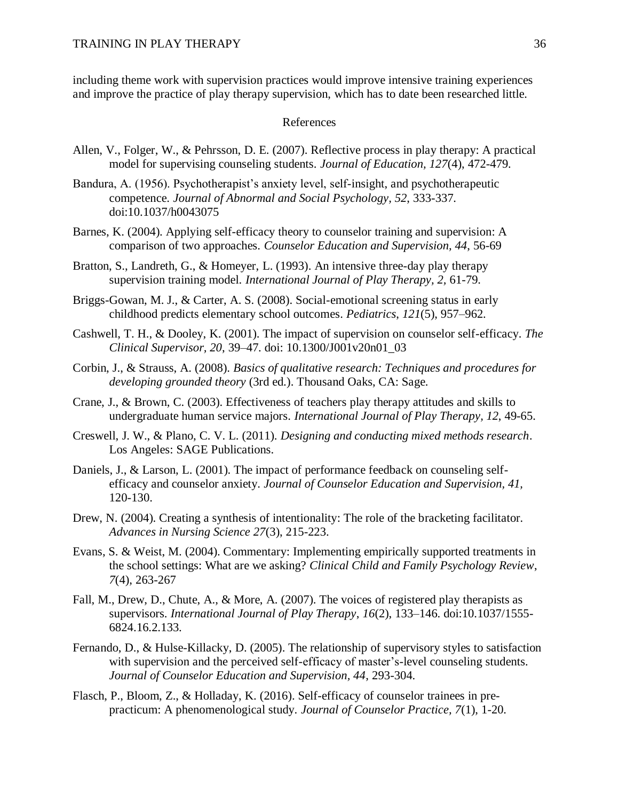including theme work with supervision practices would improve intensive training experiences and improve the practice of play therapy supervision, which has to date been researched little.

## References

- Allen, V., Folger, W., & Pehrsson, D. E. (2007). Reflective process in play therapy: A practical model for supervising counseling students. *Journal of Education, 127*(4), 472-479.
- Bandura, A. (1956). Psychotherapist's anxiety level, self-insight, and psychotherapeutic competence. *Journal of Abnormal and Social Psychology, 52*, 333-337. doi:10.1037/h0043075
- Barnes, K. (2004). Applying self-efficacy theory to counselor training and supervision: A comparison of two approaches. *Counselor Education and Supervision, 44*, 56-69
- Bratton, S., Landreth, G., & Homeyer, L. (1993). An intensive three-day play therapy supervision training model. *International Journal of Play Therapy, 2,* 61-79.
- Briggs-Gowan, M. J., & Carter, A. S. (2008). Social-emotional screening status in early childhood predicts elementary school outcomes. *Pediatrics*, *121*(5), 957–962.
- Cashwell, T. H., & Dooley, K. (2001). The impact of supervision on counselor self-efficacy. *The Clinical Supervisor, 20*, 39–47. doi: 10.1300/J001v20n01\_03
- Corbin, J., & Strauss, A. (2008). *Basics of qualitative research: Techniques and procedures for developing grounded theory* (3rd ed.). Thousand Oaks, CA: Sage.
- Crane, J., & Brown, C. (2003). Effectiveness of teachers play therapy attitudes and skills to undergraduate human service majors. *International Journal of Play Therapy, 12*, 49-65.
- Creswell, J. W., & Plano, C. V. L. (2011). *Designing and conducting mixed methods research*. Los Angeles: SAGE Publications.
- Daniels, J., & Larson, L. (2001). The impact of performance feedback on counseling selfefficacy and counselor anxiety. *Journal of Counselor Education and Supervision, 41,*  120-130.
- Drew, N. (2004). Creating a synthesis of intentionality: The role of the bracketing facilitator. *Advances in Nursing Science 27*(3), 215-223.
- Evans, S. & Weist, M. (2004). Commentary: Implementing empirically supported treatments in the school settings: What are we asking? *Clinical Child and Family Psychology Review*, *7*(4), 263-267
- Fall, M., Drew, D., Chute, A., & More, A. (2007). The voices of registered play therapists as supervisors. *International Journal of Play Therapy*, *16*(2), 133–146. doi:10.1037/1555- 6824.16.2.133.
- Fernando, D., & Hulse-Killacky, D. (2005). The relationship of supervisory styles to satisfaction with supervision and the perceived self-efficacy of master's-level counseling students. *Journal of Counselor Education and Supervision, 44*, 293-304.
- Flasch, P., Bloom, Z., & Holladay, K. (2016). Self-efficacy of counselor trainees in prepracticum: A phenomenological study. *Journal of Counselor Practice, 7*(1), 1-20.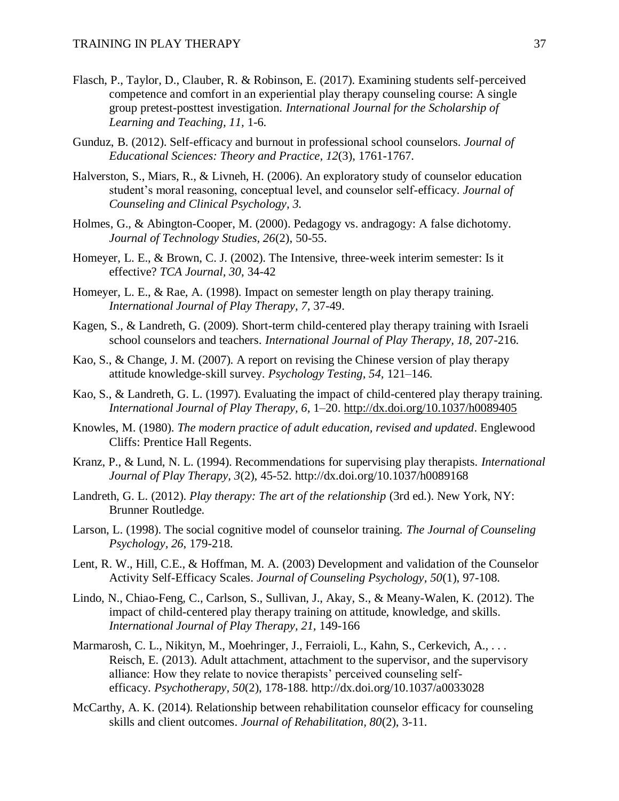- Flasch, P., Taylor, D., Clauber, R. & Robinson, E. (2017). Examining students self-perceived competence and comfort in an experiential play therapy counseling course: A single group pretest-posttest investigation. *International Journal for the Scholarship of Learning and Teaching, 11,* 1-6.
- Gunduz, B. (2012). Self-efficacy and burnout in professional school counselors. *Journal of Educational Sciences: Theory and Practice, 12*(3), 1761-1767.
- Halverston, S., Miars, R., & Livneh, H. (2006). An exploratory study of counselor education student's moral reasoning, conceptual level, and counselor self-efficacy*. Journal of Counseling and Clinical Psychology, 3.*
- Holmes, G., & Abington-Cooper, M. (2000). Pedagogy vs. andragogy: A false dichotomy. *Journal of Technology Studies, 26*(2), 50-55.
- Homeyer, L. E., & Brown, C. J. (2002). The Intensive, three-week interim semester: Is it effective? *TCA Journal, 30*, 34-42
- Homeyer, L. E., & Rae, A. (1998). Impact on semester length on play therapy training. *International Journal of Play Therapy, 7,* 37-49.
- Kagen, S., & Landreth, G. (2009). Short-term child-centered play therapy training with Israeli school counselors and teachers. *International Journal of Play Therapy, 18,* 207-216.
- Kao, S., & Change, J. M. (2007). A report on revising the Chinese version of play therapy attitude knowledge-skill survey. *Psychology Testing, 54,* 121–146.
- Kao, S., & Landreth, G. L. (1997). Evaluating the impact of child-centered play therapy training. *International Journal of Play Therapy, 6,* 1–20.<http://dx.doi.org/10.1037/h0089405>
- Knowles, M. (1980). *The modern practice of adult education, revised and updated*. Englewood Cliffs: Prentice Hall Regents.
- Kranz, P., & Lund, N. L. (1994). Recommendations for supervising play therapists. *International Journal of Play Therapy, 3*(2), 45-52. http://dx.doi.org/10.1037/h0089168
- Landreth, G. L. (2012). *Play therapy: The art of the relationship* (3rd ed.). New York, NY: Brunner Routledge.
- Larson, L. (1998). The social cognitive model of counselor training. *The Journal of Counseling Psychology, 26*, 179-218.
- Lent, R. W., Hill, C.E., & Hoffman, M. A. (2003) Development and validation of the Counselor Activity Self-Efficacy Scales. *Journal of Counseling Psychology, 50*(1), 97-108.
- Lindo, N., Chiao-Feng, C., Carlson, S., Sullivan, J., Akay, S., & Meany-Walen, K. (2012). The impact of child-centered play therapy training on attitude, knowledge, and skills. *International Journal of Play Therapy, 21,* 149-166
- Marmarosh, C. L., Nikityn, M., Moehringer, J., Ferraioli, L., Kahn, S., Cerkevich, A., . . . Reisch, E. (2013). Adult attachment, attachment to the supervisor, and the supervisory alliance: How they relate to novice therapists' perceived counseling selfefficacy. *Psychotherapy, 50*(2), 178-188. http://dx.doi.org/10.1037/a0033028
- McCarthy, A. K. (2014). Relationship between rehabilitation counselor efficacy for counseling skills and client outcomes. *Journal of Rehabilitation, 80*(2), 3-11.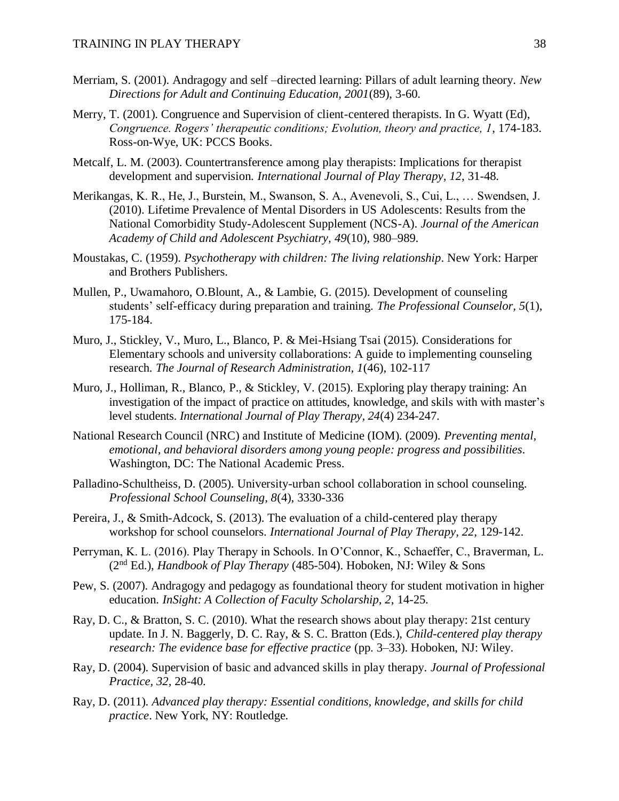- Merriam, S. (2001). Andragogy and self –directed learning: Pillars of adult learning theory. *New Directions for Adult and Continuing Education, 2001*(89), 3-60.
- Merry, T. (2001). Congruence and Supervision of client-centered therapists. In G. Wyatt (Ed), *Congruence. Rogers' therapeutic conditions; Evolution, theory and practice, 1*, 174-183. Ross-on-Wye, UK: PCCS Books.
- Metcalf, L. M. (2003). Countertransference among play therapists: Implications for therapist development and supervision. *International Journal of Play Therapy, 12*, 31-48.
- Merikangas, K. R., He, J., Burstein, M., Swanson, S. A., Avenevoli, S., Cui, L., … Swendsen, J. (2010). Lifetime Prevalence of Mental Disorders in US Adolescents: Results from the National Comorbidity Study-Adolescent Supplement (NCS-A). *Journal of the American Academy of Child and Adolescent Psychiatry, 49*(10), 980–989.
- Moustakas, C. (1959). *Psychotherapy with children: The living relationship*. New York: Harper and Brothers Publishers.
- Mullen, P., Uwamahoro, O.Blount, A., & Lambie, G. (2015). Development of counseling students' self-efficacy during preparation and training. *The Professional Counselor, 5*(1), 175-184.
- Muro, J., Stickley, V., Muro, L., Blanco, P. & Mei-Hsiang Tsai (2015). Considerations for Elementary schools and university collaborations: A guide to implementing counseling research. *The Journal of Research Administration, 1*(46), 102-117
- Muro, J., Holliman, R., Blanco, P., & Stickley, V. (2015). Exploring play therapy training: An investigation of the impact of practice on attitudes, knowledge, and skils with with master's level students. *International Journal of Play Therapy, 24*(4) 234-247.
- National Research Council (NRC) and Institute of Medicine (IOM). (2009). *Preventing mental, emotional, and behavioral disorders among young people: progress and possibilities*. Washington, DC: The National Academic Press.
- Palladino-Schultheiss, D. (2005). University-urban school collaboration in school counseling. *Professional School Counseling, 8*(4), 3330-336
- Pereira, J., & Smith-Adcock, S. (2013). The evaluation of a child-centered play therapy workshop for school counselors. *International Journal of Play Therapy, 22,* 129-142.
- Perryman, K. L. (2016). Play Therapy in Schools. In O'Connor, K., Schaeffer, C., Braverman, L. (2nd Ed.), *Handbook of Play Therapy* (485-504). Hoboken, NJ: Wiley & Sons
- Pew, S. (2007). Andragogy and pedagogy as foundational theory for student motivation in higher education. *InSight: A Collection of Faculty Scholarship, 2*, 14-25.
- Ray, D. C., & Bratton, S. C. (2010). What the research shows about play therapy: 21st century update. In J. N. Baggerly, D. C. Ray, & S. C. Bratton (Eds.), *Child-centered play therapy research: The evidence base for effective practice* (pp. 3–33). Hoboken, NJ: Wiley.
- Ray, D. (2004). Supervision of basic and advanced skills in play therapy. *Journal of Professional Practice, 32,* 28-40.
- Ray, D. (2011). *Advanced play therapy: Essential conditions, knowledge, and skills for child practice*. New York, NY: Routledge.